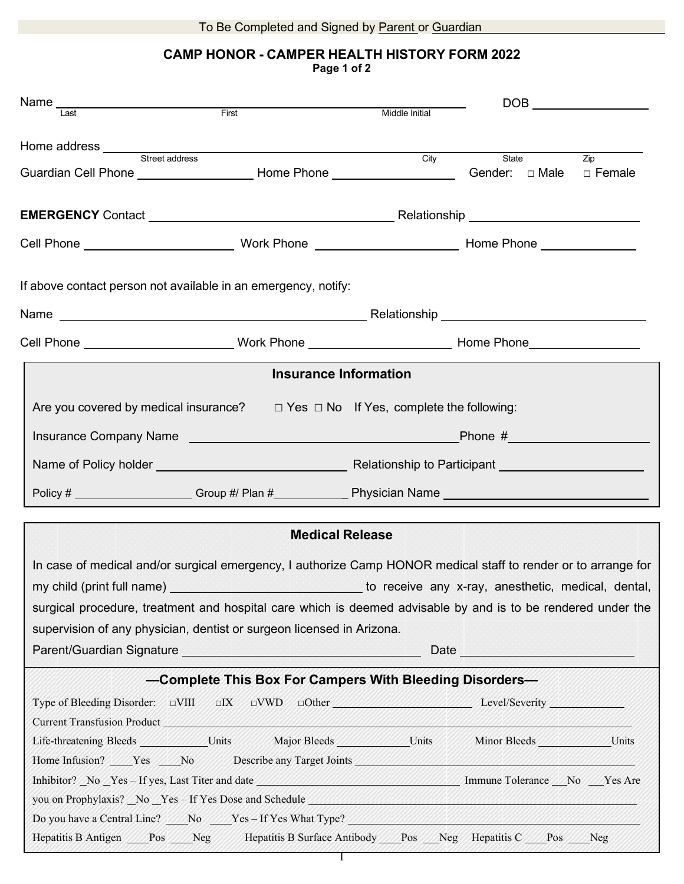### **CAMP HONOR - CAMPER HEALTH HISTORY FORM 2022 Page 1 of 2**

| Name <b>are</b><br>Last <b>Example 18 For Server Act Area</b>                                                                                                                                                                        |                                                                                                                                                                                                                                      | Middle Initial               |                                                                                                                                                                                                                                |                 |
|--------------------------------------------------------------------------------------------------------------------------------------------------------------------------------------------------------------------------------------|--------------------------------------------------------------------------------------------------------------------------------------------------------------------------------------------------------------------------------------|------------------------------|--------------------------------------------------------------------------------------------------------------------------------------------------------------------------------------------------------------------------------|-----------------|
|                                                                                                                                                                                                                                      |                                                                                                                                                                                                                                      |                              |                                                                                                                                                                                                                                |                 |
| Guardian Cell Phone ______________________Home Phone _________________________Gender: □ Male                                                                                                                                         |                                                                                                                                                                                                                                      |                              | City State                                                                                                                                                                                                                     | Zip<br>□ Female |
|                                                                                                                                                                                                                                      |                                                                                                                                                                                                                                      |                              |                                                                                                                                                                                                                                |                 |
|                                                                                                                                                                                                                                      |                                                                                                                                                                                                                                      |                              |                                                                                                                                                                                                                                |                 |
|                                                                                                                                                                                                                                      |                                                                                                                                                                                                                                      |                              |                                                                                                                                                                                                                                |                 |
| If above contact person not available in an emergency, notify:                                                                                                                                                                       |                                                                                                                                                                                                                                      |                              |                                                                                                                                                                                                                                |                 |
|                                                                                                                                                                                                                                      |                                                                                                                                                                                                                                      |                              |                                                                                                                                                                                                                                |                 |
|                                                                                                                                                                                                                                      |                                                                                                                                                                                                                                      |                              |                                                                                                                                                                                                                                |                 |
|                                                                                                                                                                                                                                      |                                                                                                                                                                                                                                      | <b>Insurance Information</b> |                                                                                                                                                                                                                                |                 |
| Are you covered by medical insurance? $\Box$ Yes $\Box$ No If Yes, complete the following:                                                                                                                                           |                                                                                                                                                                                                                                      |                              |                                                                                                                                                                                                                                |                 |
|                                                                                                                                                                                                                                      |                                                                                                                                                                                                                                      |                              |                                                                                                                                                                                                                                |                 |
|                                                                                                                                                                                                                                      |                                                                                                                                                                                                                                      |                              |                                                                                                                                                                                                                                |                 |
|                                                                                                                                                                                                                                      |                                                                                                                                                                                                                                      |                              |                                                                                                                                                                                                                                |                 |
|                                                                                                                                                                                                                                      | Policy # ____________________Group #/ Plan #______________Physician Name ________________________________                                                                                                                            |                              |                                                                                                                                                                                                                                |                 |
|                                                                                                                                                                                                                                      |                                                                                                                                                                                                                                      | <b>Medical Release</b>       |                                                                                                                                                                                                                                |                 |
|                                                                                                                                                                                                                                      |                                                                                                                                                                                                                                      |                              |                                                                                                                                                                                                                                |                 |
| In case of medical and/or surgical emergency, I authorize Camp HONOR medical staff to render or to arrange for                                                                                                                       |                                                                                                                                                                                                                                      |                              |                                                                                                                                                                                                                                |                 |
| my child (print full name) <b>we are all the control to the control of the control of the control of the control of the control of the control of the control of the control of the control of the control of the control of the</b> |                                                                                                                                                                                                                                      |                              |                                                                                                                                                                                                                                |                 |
| surgical procedure, treatment and hospital care which is deemed advisable by and is to be rendered under the                                                                                                                         |                                                                                                                                                                                                                                      |                              |                                                                                                                                                                                                                                |                 |
| supervision of any physician, dentist or surgeon licensed in Arizona.                                                                                                                                                                |                                                                                                                                                                                                                                      |                              |                                                                                                                                                                                                                                |                 |
|                                                                                                                                                                                                                                      | Parent/Guardian Signature <b>Contract of the Contract of Contract of Contract of Contract of Contract of Contract of Contract of Contract of Contract of Contract of Contract of Contract of Contract of Contract of Contract of</b> |                              | Date design and the contract of the contract of the contract of the contract of the contract of the contract of the contract of the contract of the contract of the contract of the contract of the contract of the contract o |                 |
|                                                                                                                                                                                                                                      | -Complete This Box For Campers With Bleeding Disorders-                                                                                                                                                                              |                              |                                                                                                                                                                                                                                |                 |
|                                                                                                                                                                                                                                      | Type of Bleeding Disorder: $\Box$ VIII $\Box$ IX $\Box$ VWD $\Box$ Other $\Box$ Level/Severity Level/Severity                                                                                                                        |                              |                                                                                                                                                                                                                                |                 |
|                                                                                                                                                                                                                                      | Current Transfusion Product Manual Manual Manual Manual Manual Manual Manual Manual Manual Manual Manual Manua                                                                                                                       |                              |                                                                                                                                                                                                                                |                 |
| Life-threatening Bleeds ____________Units Major Bleeds ____________Units Minor Bleeds ___________Units                                                                                                                               |                                                                                                                                                                                                                                      |                              |                                                                                                                                                                                                                                |                 |
| Home Infusion? Ves No Describe any Target Joints New York 1999                                                                                                                                                                       |                                                                                                                                                                                                                                      |                              |                                                                                                                                                                                                                                |                 |
| Inhibitor? No Yes-If yes, Last Titer and date Manual Assembly 2014 Immune Tolerance No Yes Are                                                                                                                                       |                                                                                                                                                                                                                                      |                              |                                                                                                                                                                                                                                |                 |
| you on Prophylaxis? No Yes - If Yes Dose and Schedule 2008 and Schedule 2008                                                                                                                                                         |                                                                                                                                                                                                                                      |                              |                                                                                                                                                                                                                                |                 |
| Do you have a Central Line? No Yes-If Yes What Type?                                                                                                                                                                                 |                                                                                                                                                                                                                                      |                              |                                                                                                                                                                                                                                |                 |
| Hepatitis B Antigen Pos Neg Hepatitis B Surface Antibody Pos Neg Hepatitis C Pos Neg                                                                                                                                                 |                                                                                                                                                                                                                                      |                              |                                                                                                                                                                                                                                |                 |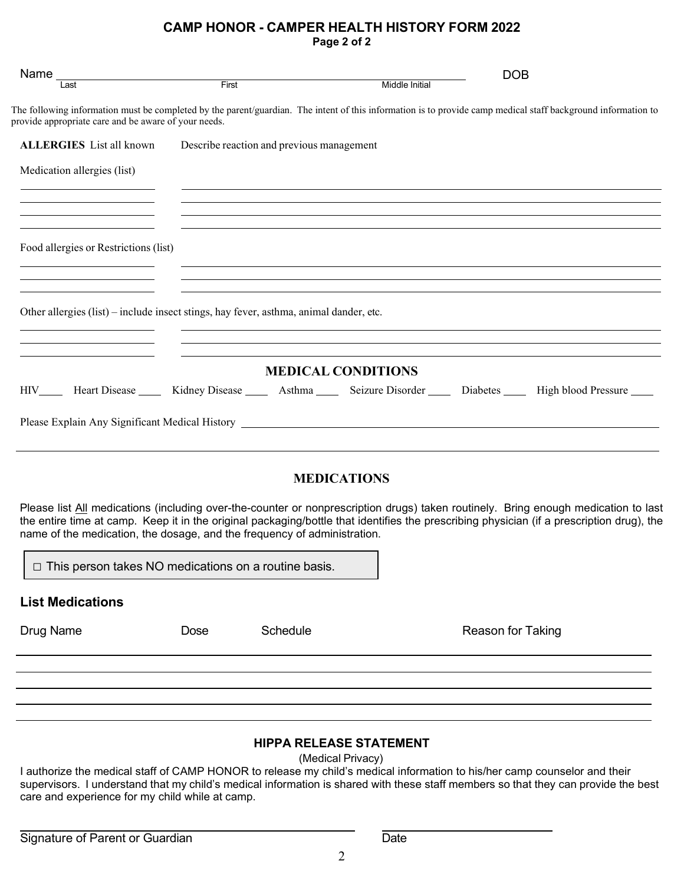### **CAMP HONOR - CAMPER HEALTH HISTORY FORM 2022 Page 2 of 2**

| Name $\frac{1}{\sqrt{1}}$                                                              |                                           |                           | <b>DOB</b>                                                                                                                                                                                                                                                                      |  |
|----------------------------------------------------------------------------------------|-------------------------------------------|---------------------------|---------------------------------------------------------------------------------------------------------------------------------------------------------------------------------------------------------------------------------------------------------------------------------|--|
|                                                                                        | First                                     | Middle Initial            |                                                                                                                                                                                                                                                                                 |  |
| provide appropriate care and be aware of your needs.                                   |                                           |                           | The following information must be completed by the parent/guardian. The intent of this information is to provide camp medical staff background information to                                                                                                                   |  |
| <b>ALLERGIES</b> List all known                                                        | Describe reaction and previous management |                           |                                                                                                                                                                                                                                                                                 |  |
| Medication allergies (list)                                                            |                                           |                           | <u> 1999 - Jan Samuel Barbara, margaret eta batean batean batean batean batean batean batean batean batean batean</u>                                                                                                                                                           |  |
|                                                                                        |                                           |                           |                                                                                                                                                                                                                                                                                 |  |
| Food allergies or Restrictions (list)                                                  |                                           |                           |                                                                                                                                                                                                                                                                                 |  |
|                                                                                        |                                           |                           | ,我们也不会有什么。""我们的人,我们也不会有什么?""我们的人,我们也不会有什么?""我们的人,我们也不会有什么?""我们的人,我们也不会有什么?""我们的人                                                                                                                                                                                                |  |
|                                                                                        |                                           |                           |                                                                                                                                                                                                                                                                                 |  |
| Other allergies (list) – include insect stings, hay fever, asthma, animal dander, etc. |                                           |                           |                                                                                                                                                                                                                                                                                 |  |
|                                                                                        |                                           |                           |                                                                                                                                                                                                                                                                                 |  |
|                                                                                        |                                           | <b>MEDICAL CONDITIONS</b> |                                                                                                                                                                                                                                                                                 |  |
|                                                                                        |                                           |                           | HIV Heart Disease Kidney Disease Asthma Seizure Disorder Diabetes High blood Pressure                                                                                                                                                                                           |  |
| Please Explain Any Significant Medical History __________________________________      |                                           |                           |                                                                                                                                                                                                                                                                                 |  |
|                                                                                        |                                           |                           |                                                                                                                                                                                                                                                                                 |  |
|                                                                                        |                                           | <b>MEDICATIONS</b>        |                                                                                                                                                                                                                                                                                 |  |
|                                                                                        |                                           |                           |                                                                                                                                                                                                                                                                                 |  |
| name of the medication, the dosage, and the frequency of administration.               |                                           |                           | Please list All medications (including over-the-counter or nonprescription drugs) taken routinely. Bring enough medication to last<br>the entire time at camp. Keep it in the original packaging/bottle that identifies the prescribing physician (if a prescription drug), the |  |
|                                                                                        |                                           |                           |                                                                                                                                                                                                                                                                                 |  |

□ This person takes NO medications on a routine basis.

### **List Medications**

Drug Name **Dose** Schedule **Constant Constant Constant Constant Constant Constant Constant Constant Constant Constant Constant Constant Constant Deck Constant Constant Constant Constant Constant Constant Constant Constant C** 

# **HIPPA RELEASE STATEMENT**

(Medical Privacy)

I authorize the medical staff of CAMP HONOR to release my child's medical information to his/her camp counselor and their supervisors. I understand that my child's medical information is shared with these staff members so that they can provide the best care and experience for my child while at camp.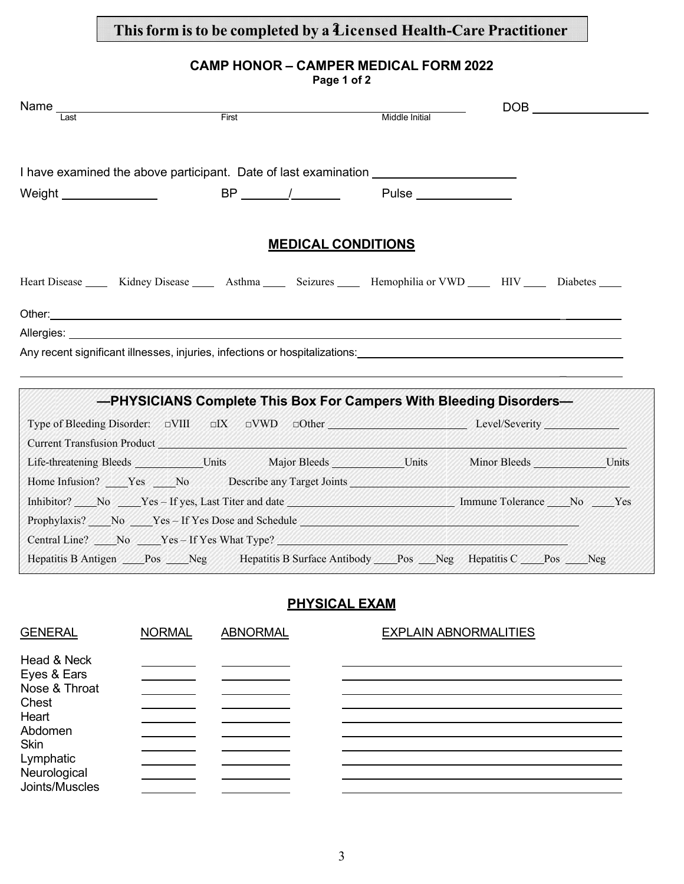## **Thisform isto be completed by a** 2 **Licensed Health-Care Practitioner**

## **CAMP HONOR – CAMPER MEDICAL FORM 2022**

|              |                                                                                                                                                                                                                                      | Page 1 of 2               |                |  |  |
|--------------|--------------------------------------------------------------------------------------------------------------------------------------------------------------------------------------------------------------------------------------|---------------------------|----------------|--|--|
| Name<br>Last |                                                                                                                                                                                                                                      |                           |                |  |  |
|              | First                                                                                                                                                                                                                                |                           | Middle Initial |  |  |
|              | I have examined the above participant. Date of last examination ________________                                                                                                                                                     |                           |                |  |  |
|              |                                                                                                                                                                                                                                      | BP / Pulse                |                |  |  |
|              |                                                                                                                                                                                                                                      | <b>MEDICAL CONDITIONS</b> |                |  |  |
|              | Heart Disease ______ Kidney Disease _______ Asthma _______ Seizures _______ Hemophilia or VWD ______ HIV _____ Diabetes _____                                                                                                        |                           |                |  |  |
|              | Other: <u>the contract of the contract of the contract of the contract of the contract of the contract of the contract of the contract of the contract of the contract of the contract of the contract of the contract of the co</u> |                           |                |  |  |
|              |                                                                                                                                                                                                                                      |                           |                |  |  |
|              | Any recent significant illnesses, injuries, infections or hospitalizations:                                                                                                                                                          |                           |                |  |  |
|              | -PHYSICIANS Complete This Box For Campers With Bleeding Disorders-                                                                                                                                                                   |                           |                |  |  |
|              | Type of Bleeding Disorder: DVIII DIX DVWD DOther Mother Level/Severity Level/Severity                                                                                                                                                |                           |                |  |  |
|              | Current Transfusion Product Management of the Contract of the Contract of the Contract of the Contract of the Contract of the Contract of the Contract of the Contract of the Contract of the Contract of the Contract of the        |                           |                |  |  |
|              | Life-threatening Bleeds ______________Units Major Bleeds _________________Units Minor Bleeds _____________Units                                                                                                                      |                           |                |  |  |
|              | Home Infusion? Nes No Describe any Target Joints New York 2012                                                                                                                                                                       |                           |                |  |  |
|              | Inhibitor? No Yes-If yes, Last Titer and date Manuscript Colerance No Yes                                                                                                                                                            |                           |                |  |  |
|              | Prophylaxis? No Yes-If Yes Dose and Schedule Network and Schedule Network and Schedule Network and Schedule Network and Schedule Network and Schedule Network and Schedule Network and Schedule Network and Schedule Network a       |                           |                |  |  |
|              | Central Line? No Yes-If Yes What Type? No West Type 2 and Type 2 and Type 2 and Type 2 and Type 2 and Type 2 and Type 2 and Type 2 and Type 2 and Type 2 and Type 2 and Type 2 and Type 2 and Type 2 and Type 2 and Type 2 and       |                           |                |  |  |
|              | Hepatitis B Antigen ____Pos ____Neg Hepatitis B Surface Antibody ____Pos ___Neg Hepatitis C ____Pos ____Neg                                                                                                                          |                           |                |  |  |

# **PHYSICAL EXAM**

| <b>GENERAL</b>                                                                                                       | <b>NORMAL</b> | <b>ABNORMAL</b> | <b>EXPLAIN ABNORMALITIES</b> |
|----------------------------------------------------------------------------------------------------------------------|---------------|-----------------|------------------------------|
| Head & Neck<br>Eyes & Ears<br>Nose & Throat<br>Chest<br>Heart<br>Abdomen<br><b>Skin</b><br>Lymphatic<br>Neurological |               |                 |                              |
| Joints/Muscles                                                                                                       |               |                 |                              |